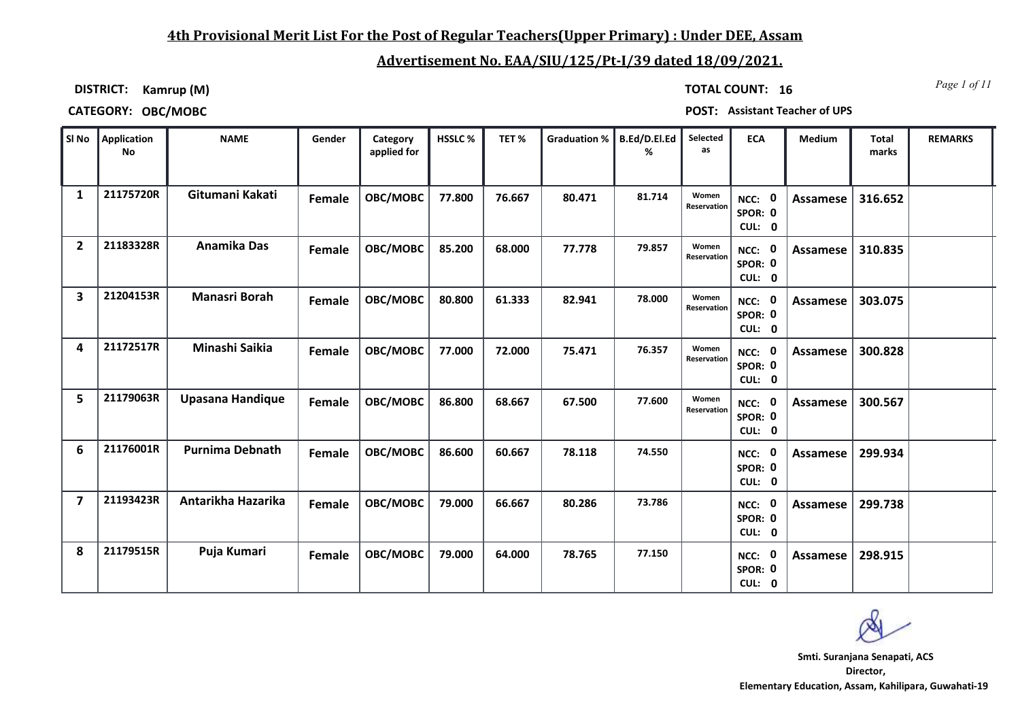## **4th Provisional Merit List For the Post of Regular Teachers(Upper Primary) : Under DEE, Assam**

# **Advertisement No. EAA/SIU/125/Pt-I/39 dated 18/09/2021.**

**DISTRICT: Kamrup (M)**

*Page 1 of 11* **TOTAL COUNT: 16**

**CATEGORY: OBC/MOBC POST: Assistant Teacher of UPS**

|                         | SI No Application<br>No | <b>NAME</b>             | Gender | Category<br>applied for | HSSLC% | TET%   | <b>Graduation %</b> | <b>B.Ed/D.El.Ed</b><br>% | Selected<br>as       | <b>ECA</b>                               | <b>Medium</b>   | <b>Total</b><br>marks | <b>REMARKS</b> |
|-------------------------|-------------------------|-------------------------|--------|-------------------------|--------|--------|---------------------|--------------------------|----------------------|------------------------------------------|-----------------|-----------------------|----------------|
| 1                       | 21175720R               | Gitumani Kakati         | Female | OBC/MOBC                | 77.800 | 76.667 | 80.471              | 81.714                   | Women<br>Reservation | NCC: 0<br>SPOR: 0<br>CUL: 0              | <b>Assamese</b> | 316.652               |                |
| $\overline{2}$          | 21183328R               | <b>Anamika Das</b>      | Female | OBC/MOBC                | 85.200 | 68.000 | 77.778              | 79.857                   | Women<br>Reservation | NCC: 0<br>SPOR: 0<br>CUL: 0              | <b>Assamese</b> | 310.835               |                |
| 3                       | 21204153R               | Manasri Borah           | Female | OBC/MOBC                | 80.800 | 61.333 | 82.941              | 78.000                   | Women<br>Reservation | $\mathbf 0$<br>NCC:<br>SPOR: 0<br>CUL: 0 | Assamese        | 303.075               |                |
| 4                       | 21172517R               | Minashi Saikia          | Female | OBC/MOBC                | 77.000 | 72.000 | 75.471              | 76.357                   | Women<br>Reservation | NCC: 0<br>SPOR: 0<br>CUL: 0              | Assamese        | 300.828               |                |
| 5                       | 21179063R               | <b>Upasana Handique</b> | Female | OBC/MOBC                | 86.800 | 68.667 | 67.500              | 77.600                   | Women<br>Reservation | NCC: 0<br>SPOR: 0<br>CUL: 0              | <b>Assamese</b> | 300.567               |                |
| 6                       | 21176001R               | <b>Purnima Debnath</b>  | Female | OBC/MOBC                | 86.600 | 60.667 | 78.118              | 74.550                   |                      | 0<br>NCC:<br>SPOR: 0<br>CUL: 0           | Assamese        | 299.934               |                |
| $\overline{\mathbf{z}}$ | 21193423R               | Antarikha Hazarika      | Female | OBC/MOBC                | 79.000 | 66.667 | 80.286              | 73.786                   |                      | NCC: 0<br>SPOR: 0<br>CUL: 0              | Assamese        | 299.738               |                |
| 8                       | 21179515R               | Puja Kumari             | Female | OBC/MOBC                | 79.000 | 64.000 | 78.765              | 77.150                   |                      | NCC: 0<br>SPOR: 0<br>CUL: 0              | Assamese        | 298.915               |                |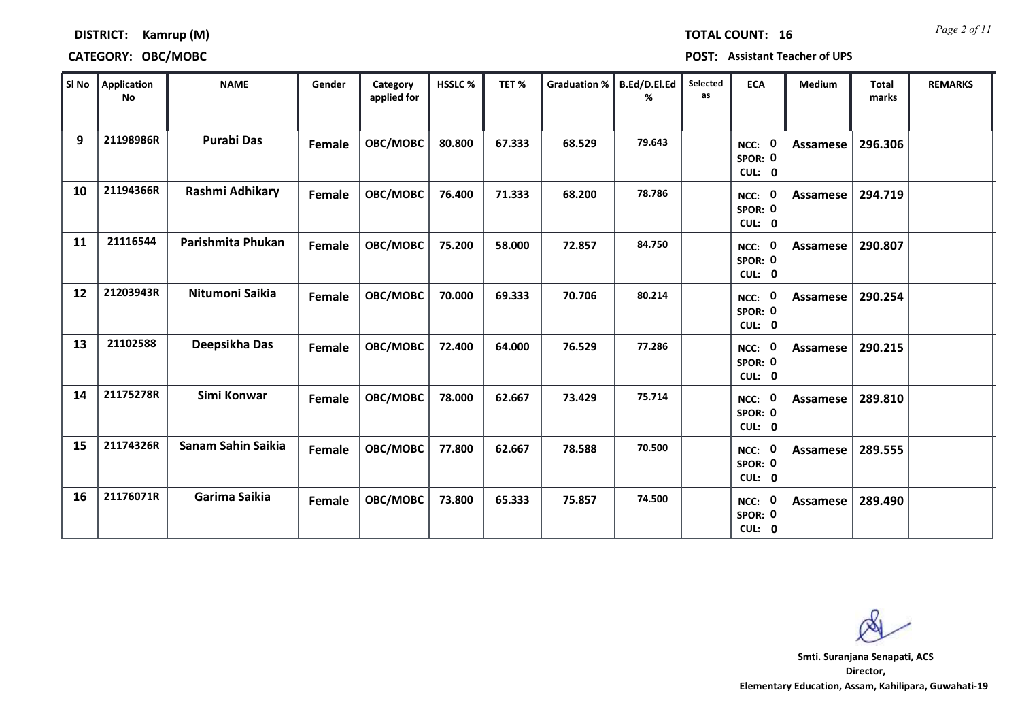### **DISTRICT: Kamrup (M)**

### **CATEGORY: OBC/MOBC POST: Assistant Teacher of UPS**

| SI No | Application<br><b>No</b> | <b>NAME</b>        | Gender        | Category<br>applied for | <b>HSSLC%</b> | TET%   | Graduation % | B.Ed/D.El.Ed<br>% | Selected<br>as | <b>ECA</b>                  | <b>Medium</b>   | <b>Total</b><br>marks | <b>REMARKS</b> |
|-------|--------------------------|--------------------|---------------|-------------------------|---------------|--------|--------------|-------------------|----------------|-----------------------------|-----------------|-----------------------|----------------|
| 9     | 21198986R                | <b>Purabi Das</b>  | Female        | OBC/MOBC                | 80.800        | 67.333 | 68.529       | 79.643            |                | NCC: 0<br>SPOR: 0<br>CUL: 0 | Assamese        | 296.306               |                |
| 10    | 21194366R                | Rashmi Adhikary    | Female        | OBC/MOBC                | 76.400        | 71.333 | 68.200       | 78.786            |                | NCC: 0<br>SPOR: 0<br>CUL: 0 | Assamese        | 294.719               |                |
| 11    | 21116544                 | Parishmita Phukan  | Female        | OBC/MOBC                | 75.200        | 58.000 | 72.857       | 84.750            |                | NCC: 0<br>SPOR: 0<br>CUL: 0 | Assamese        | 290.807               |                |
| 12    | 21203943R                | Nitumoni Saikia    | Female        | OBC/MOBC                | 70.000        | 69.333 | 70.706       | 80.214            |                | NCC: 0<br>SPOR: 0<br>CUL: 0 | Assamese        | 290.254               |                |
| 13    | 21102588                 | Deepsikha Das      | Female        | OBC/MOBC                | 72.400        | 64.000 | 76.529       | 77.286            |                | NCC: 0<br>SPOR: 0<br>CUL: 0 | Assamese        | 290.215               |                |
| 14    | 21175278R                | Simi Konwar        | <b>Female</b> | OBC/MOBC                | 78.000        | 62.667 | 73.429       | 75.714            |                | NCC: 0<br>SPOR: 0<br>CUL: 0 | <b>Assamese</b> | 289.810               |                |
| 15    | 21174326R                | Sanam Sahin Saikia | Female        | OBC/MOBC                | 77.800        | 62.667 | 78.588       | 70.500            |                | NCC: 0<br>SPOR: 0<br>CUL: 0 | Assamese        | 289.555               |                |
| 16    | 21176071R                | Garima Saikia      | Female        | OBC/MOBC                | 73.800        | 65.333 | 75.857       | 74.500            |                | NCC: 0<br>SPOR: 0<br>CUL: 0 | <b>Assamese</b> | 289.490               |                |

**Director, Elementary Education, Assam, Kahilipara, Guwahati-19 Smti. Suranjana Senapati, ACS**

*Page 2 of 11* **TOTAL COUNT: 16**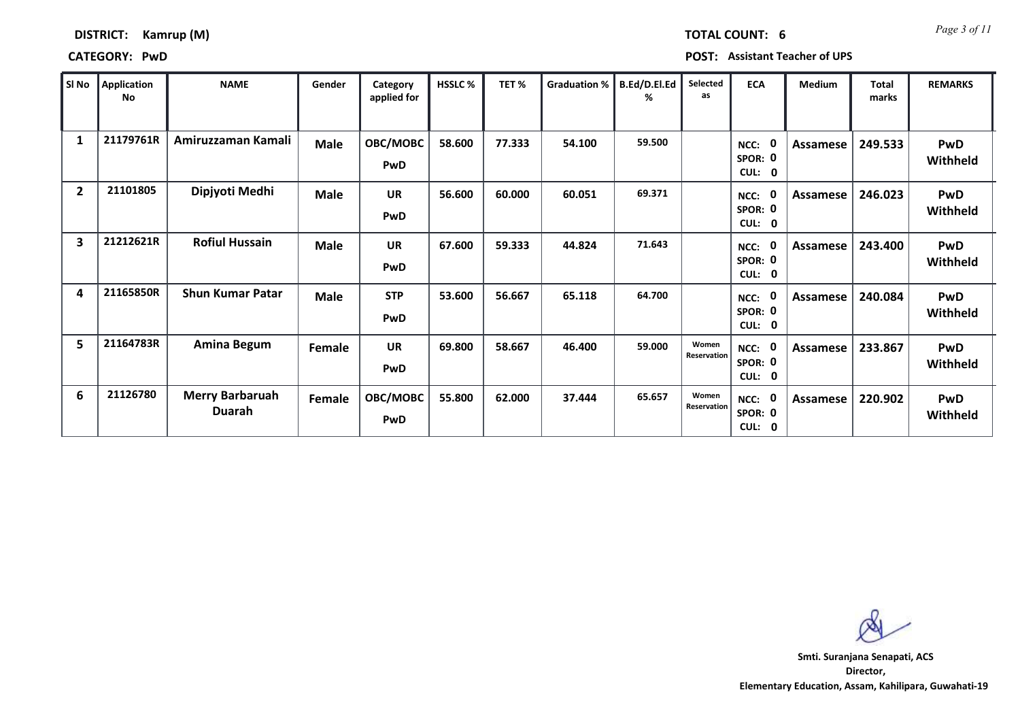| DISTRICT: | Kamrup (M) |  |
|-----------|------------|--|
|-----------|------------|--|

*Page 3 of 11* **TOTAL COUNT: 6**

**CATEGORY: PwD POST: Assistant Teacher of UPS**

| SI No          | <b>Application</b><br>No | <b>NAME</b>                      | Gender      | Category<br>applied for | <b>HSSLC %</b> | TET%   | <b>Graduation %</b> | B.Ed/D.El.Ed<br>% | Selected<br>as       | <b>ECA</b>                    | Medium   | Total<br>marks | <b>REMARKS</b>         |
|----------------|--------------------------|----------------------------------|-------------|-------------------------|----------------|--------|---------------------|-------------------|----------------------|-------------------------------|----------|----------------|------------------------|
| $\mathbf{1}$   | 21179761R                | Amiruzzaman Kamali               | <b>Male</b> | OBC/MOBC<br>PwD         | 58.600         | 77.333 | 54.100              | 59.500            |                      | NCC:<br>SPOR: 0<br>CUL: 0     | Assamese | 249.533        | <b>PwD</b><br>Withheld |
| $\overline{2}$ | 21101805                 | Dipjyoti Medhi                   | <b>Male</b> | <b>UR</b><br>PwD        | 56.600         | 60.000 | 60.051              | 69.371            |                      | NCC: 0<br>SPOR: 0<br>CUL: 0   | Assamese | 246.023        | <b>PwD</b><br>Withheld |
| 3              | 21212621R                | <b>Rofiul Hussain</b>            | <b>Male</b> | <b>UR</b><br>PwD        | 67.600         | 59.333 | 44.824              | 71.643            |                      | NCC:<br>SPOR: 0<br>CUL: 0     | Assamese | 243.400        | <b>PwD</b><br>Withheld |
| 4              | 21165850R                | <b>Shun Kumar Patar</b>          | <b>Male</b> | <b>STP</b><br>PwD       | 53.600         | 56.667 | 65.118              | 64.700            |                      | NCC:<br>SPOR: 0<br>CUL: 0     | Assamese | 240.084        | <b>PwD</b><br>Withheld |
| 5              | 21164783R                | <b>Amina Begum</b>               | Female      | <b>UR</b><br>PwD        | 69.800         | 58.667 | 46.400              | 59.000            | Women<br>Reservation | $NCC:$ 0<br>SPOR: 0<br>CUL: 0 | Assamese | 233.867        | <b>PwD</b><br>Withheld |
| 6              | 21126780                 | <b>Merry Barbaruah</b><br>Duarah | Female      | OBC/MOBC<br>PwD         | 55.800         | 62.000 | 37.444              | 65.657            | Women<br>Reservation | NCC: 0<br>SPOR: 0<br>CUL: 0   | Assamese | 220.902        | <b>PwD</b><br>Withheld |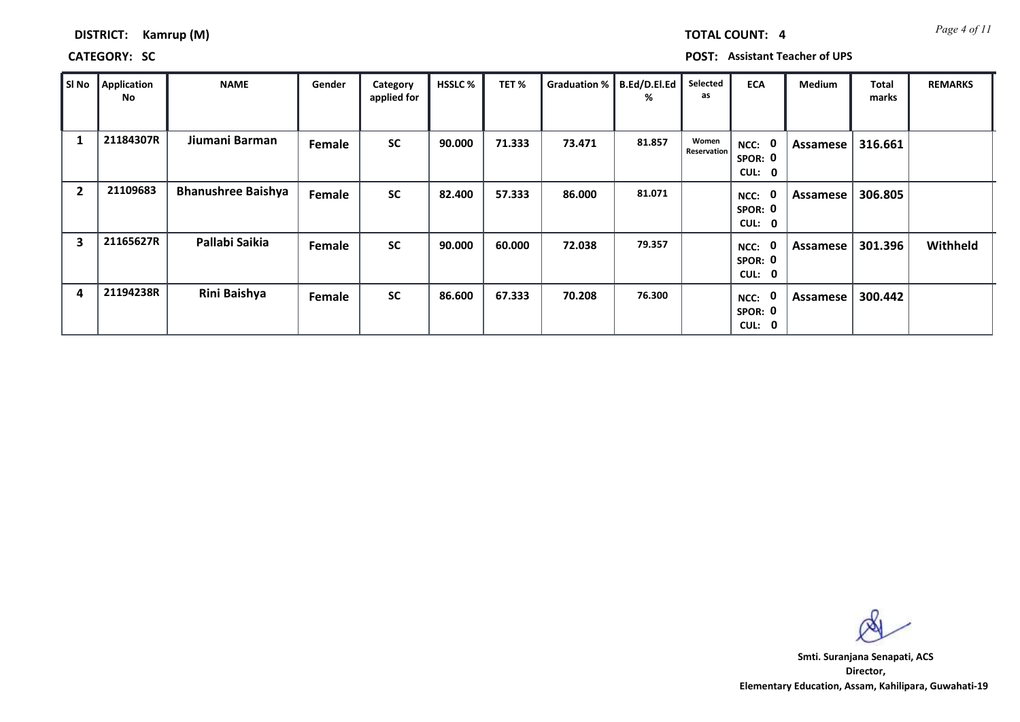| DISTRICT: | Kamrup (M) |  |
|-----------|------------|--|
|-----------|------------|--|

## **CATEGORY: SC POST: Assistant Teacher of UPS**

| SI No          | <b>Application</b><br>No | <b>NAME</b>               | Gender | Category<br>applied for | <b>HSSLC %</b> | TET%   | Graduation % | B.Ed/D.El.Ed<br>% | Selected<br>as       | <b>ECA</b>                                         | Medium   | <b>Total</b><br>marks | <b>REMARKS</b> |
|----------------|--------------------------|---------------------------|--------|-------------------------|----------------|--------|--------------|-------------------|----------------------|----------------------------------------------------|----------|-----------------------|----------------|
| 1              | 21184307R                | Jiumani Barman            | Female | <b>SC</b>               | 90.000         | 71.333 | 73.471       | 81.857            | Women<br>Reservation | NCC:<br>$\mathbf 0$<br>SPOR: 0<br><b>CUL:</b><br>0 | Assamese | 316.661               |                |
| $\overline{2}$ | 21109683                 | <b>Bhanushree Baishya</b> | Female | <b>SC</b>               | 82.400         | 57.333 | 86.000       | 81.071            |                      | $\mathbf 0$<br>NCC:<br>SPOR: 0<br>CUL:<br>0        | Assamese | 306.805               |                |
| 3              | 21165627R                | Pallabi Saikia            | Female | <b>SC</b>               | 90.000         | 60.000 | 72.038       | 79.357            |                      | 0<br>NCC:<br>SPOR: 0<br>CUL: 0                     | Assamese | 301.396               | Withheld       |
| 4              | 21194238R                | Rini Baishya              | Female | <b>SC</b>               | 86.600         | 67.333 | 70.208       | 76.300            |                      | 0<br>NCC:<br>SPOR: 0<br>CUL:<br>0                  | Assamese | 300.442               |                |

**Director, Elementary Education, Assam, Kahilipara, Guwahati-19 Smti. Suranjana Senapati, ACS**

*Page 4 of 11* **TOTAL COUNT: 4**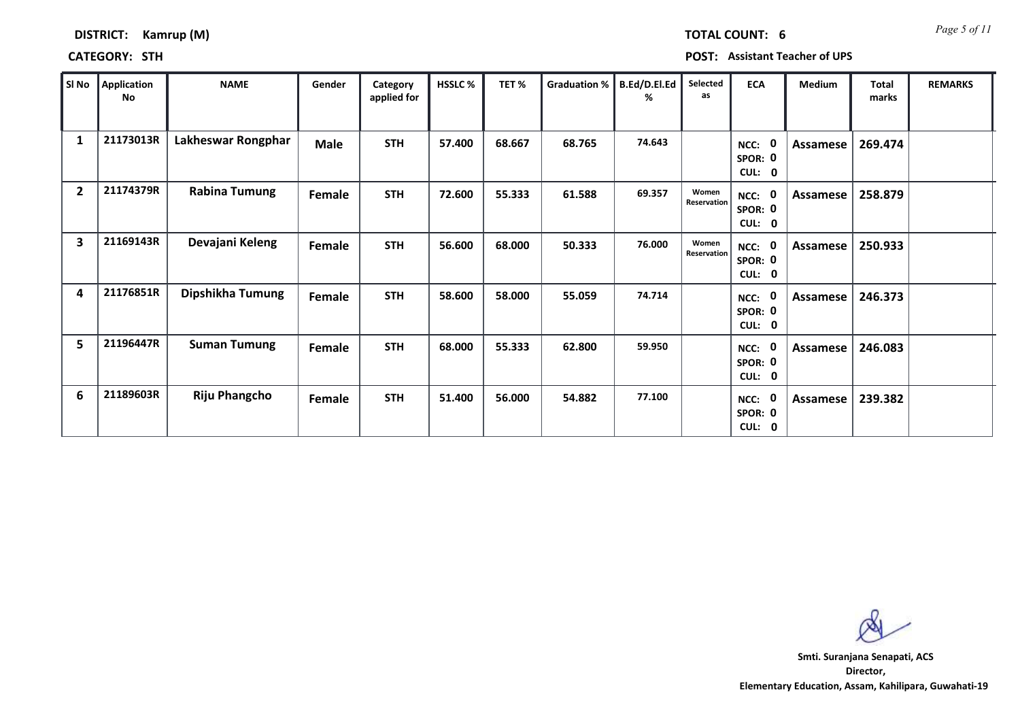|       | <b>CATEGORY: STH</b> | .                    |             |                         |         |        |                             | <b>POST: Assistant Teacher of UPS</b> |                      |                             |          |                |                |  |  |
|-------|----------------------|----------------------|-------------|-------------------------|---------|--------|-----------------------------|---------------------------------------|----------------------|-----------------------------|----------|----------------|----------------|--|--|
| SI No | Application<br>No    | <b>NAME</b>          | Gender      | Category<br>applied for | HSSLC % | TET %  | Graduation %   B.Ed/D.El.Ed | %                                     | Selected<br>as       | <b>ECA</b>                  | Medium   | Total<br>marks | <b>REMARKS</b> |  |  |
|       | 21173013R            | Lakheswar Rongphar   | <b>Male</b> | <b>STH</b>              | 57.400  | 68.667 | 68.765                      | 74.643                                |                      | NCC: 0<br>SPOR: 0<br>CUL: 0 | Assamese | 269.474        |                |  |  |
|       | 21174379R            | <b>Rabina Tumung</b> | Female      | <b>STH</b>              | 72.600  | 55.333 | 61.588                      | 69.357                                | Women<br>Reservation | NCC: 0<br>SPOR: 0           | Assamese | 258.879        |                |  |  |

|                |           |                      |               |            |        |        |        |        |                             | SPOR: 0<br>CUL: 0                        |          |         |  |
|----------------|-----------|----------------------|---------------|------------|--------|--------|--------|--------|-----------------------------|------------------------------------------|----------|---------|--|
| $\overline{2}$ | 21174379R | <b>Rabina Tumung</b> | Female        | <b>STH</b> | 72.600 | 55.333 | 61.588 | 69.357 | Women<br>Reservation        | $\mathbf 0$<br>NCC:<br>SPOR: 0<br>CUL: 0 | Assamese | 258.879 |  |
| 3              | 21169143R | Devajani Keleng      | Female        | <b>STH</b> | 56.600 | 68.000 | 50.333 | 76.000 | Women<br><b>Reservation</b> | $\mathbf 0$<br>NCC:<br>SPOR: 0<br>CUL: 0 | Assamese | 250.933 |  |
| 4              | 21176851R | Dipshikha Tumung     | <b>Female</b> | <b>STH</b> | 58.600 | 58.000 | 55.059 | 74.714 |                             | $\mathbf 0$<br>NCC:<br>SPOR: 0<br>CUL: 0 | Assamese | 246.373 |  |
| 5              | 21196447R | <b>Suman Tumung</b>  | Female        | <b>STH</b> | 68.000 | 55.333 | 62.800 | 59.950 |                             | $\mathbf 0$<br>NCC:<br>SPOR: 0<br>CUL: 0 | Assamese | 246.083 |  |
| 6              | 21189603R | <b>Riju Phangcho</b> | <b>Female</b> | <b>STH</b> | 51.400 | 56.000 | 54.882 | 77.100 |                             | 0<br>NCC:<br>SPOR: 0<br>CUL: 0           | Assamese | 239.382 |  |

**Director, Elementary Education, Assam, Kahilipara, Guwahati-19 Smti. Suranjana Senapati, ACS**

*Page 5 of 11* **TOTAL COUNT: 6**

**DISTRICT: Kamrup (M)**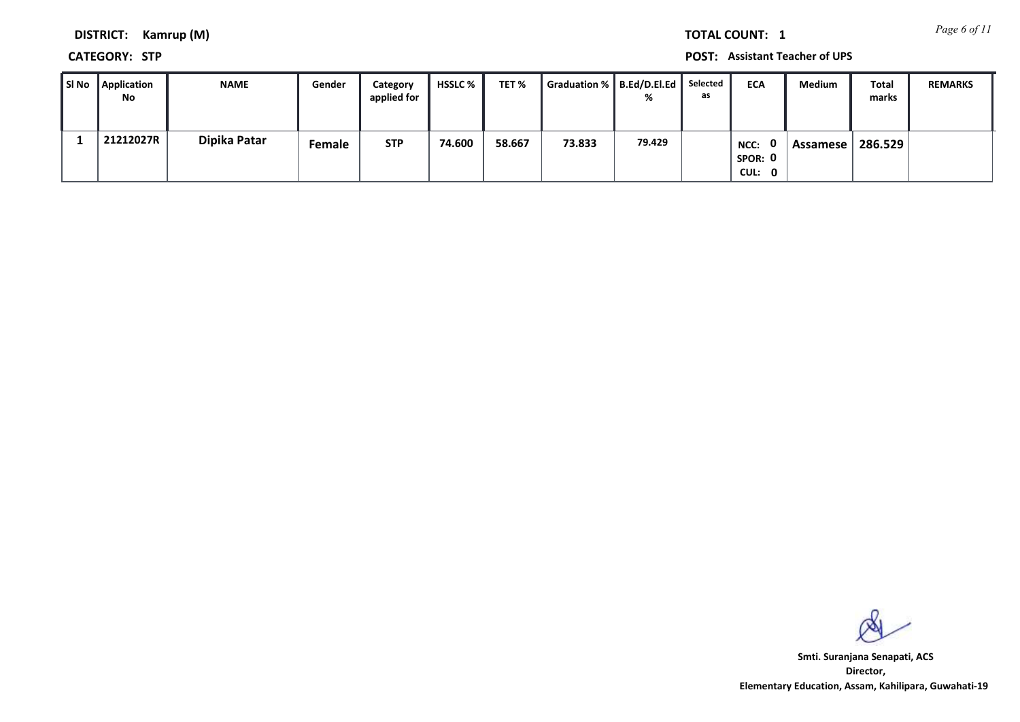*Page 6 of 11* **TOTAL COUNT: 1**

**DISTRICT: Kamrup (M)**

**CATEGORY: STP POST: Assistant Teacher of UPS**

| SI No | <b>Application</b><br>No | <b>NAME</b>  | Gender        | Category<br>applied for | <b>HSSLC</b> % | TET %  | Graduation %   B.Ed/D.El.Ed | %      | Selected<br>as | <b>ECA</b>                                | <b>Medium</b> | Total<br>marks | <b>REMARKS</b> |
|-------|--------------------------|--------------|---------------|-------------------------|----------------|--------|-----------------------------|--------|----------------|-------------------------------------------|---------------|----------------|----------------|
|       | 21212027R                | Dipika Patar | <b>Female</b> | <b>STP</b>              | 74.600         | 58.667 | 73.833                      | 79.429 |                | $\mathbf{0}$<br>NCC:<br>SPOR: 0<br>CUL: 0 | Assamese l    | 286.529        |                |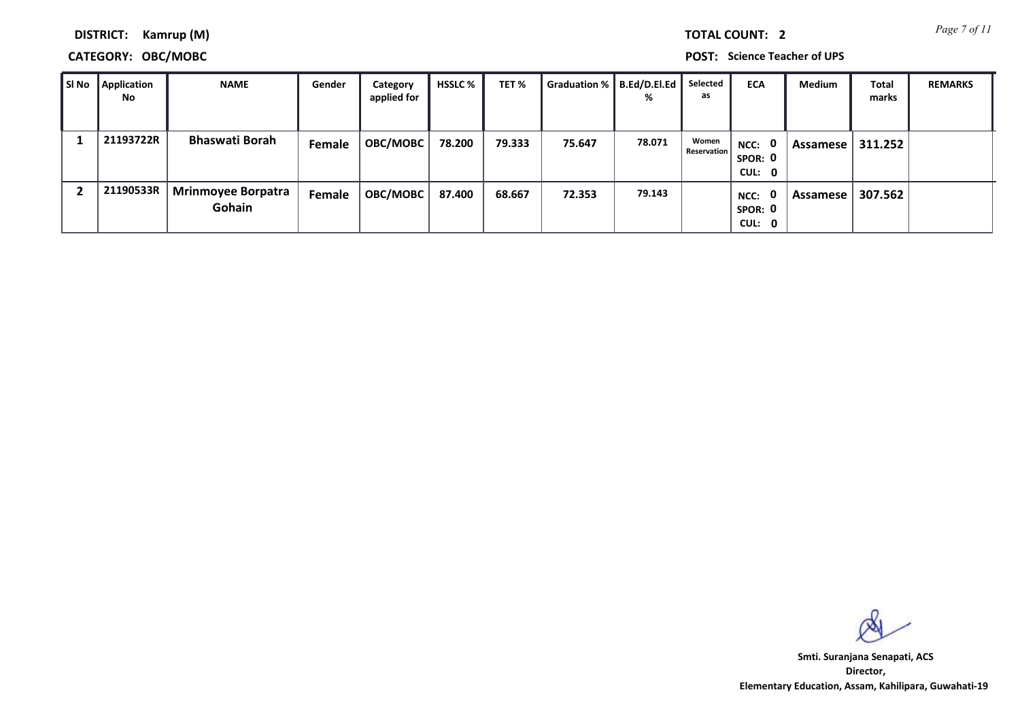*Page 7 of 11* **TOTAL COUNT: 2**

**DISTRICT: Kamrup (M)**

## **CATEGORY: OBC/MOBC POST: Science Teacher of UPS**

| SI No | Application<br>No. | <b>NAME</b>                         | Gender | Category<br>applied for | HSSLC % | TET %  | Graduation %   B.Ed/D.El.Ed | %      | Selected<br>as              | <b>ECA</b>                                | Medium   | <b>Total</b><br>marks | <b>REMARKS</b> |
|-------|--------------------|-------------------------------------|--------|-------------------------|---------|--------|-----------------------------|--------|-----------------------------|-------------------------------------------|----------|-----------------------|----------------|
|       | 21193722R          | <b>Bhaswati Borah</b>               | Female | <b>OBC/MOBC</b>         | 78.200  | 79.333 | 75.647                      | 78.071 | Women<br><b>Reservation</b> | NCC: 0<br>SPOR: 0<br>CUL: 0               | Assamese | 311.252               |                |
|       | 21190533R          | <b>Mrinmoyee Borpatra</b><br>Gohain | Female | <b>OBC/MOBC</b>         | 87.400  | 68.667 | 72.353                      | 79.143 |                             | $\mathbf{0}$<br>NCC:<br>SPOR: 0<br>CUL: 0 | Assamese | 307.562               |                |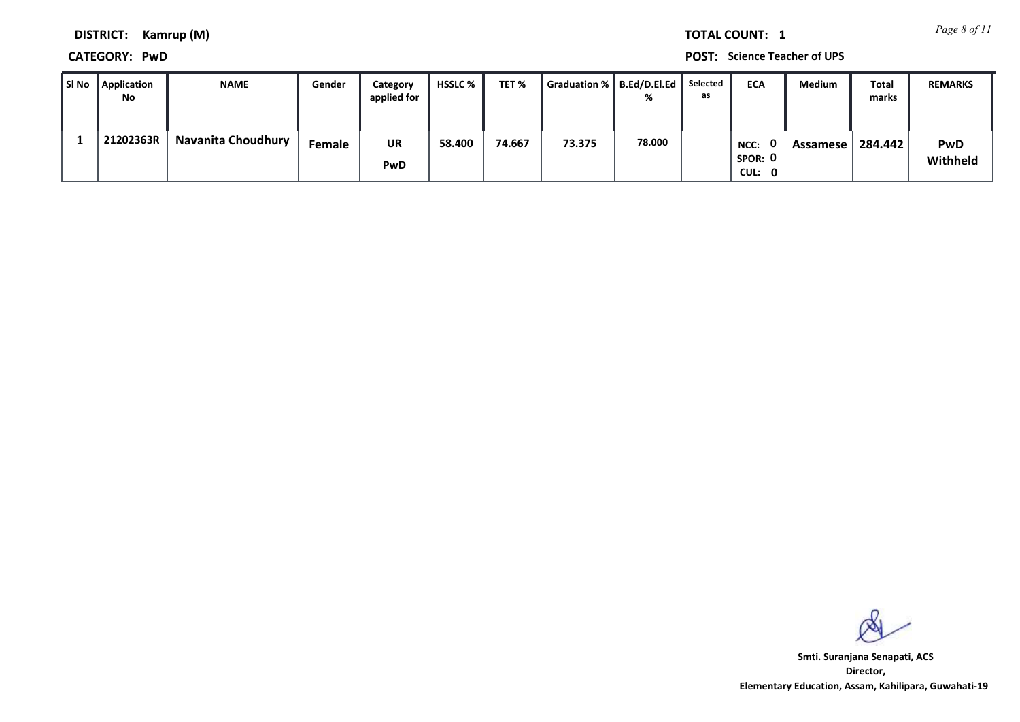*Page 8 of 11* **TOTAL COUNT: 1**

**DISTRICT: Kamrup (M)**

**CATEGORY: PwD POST: Science Teacher of UPS**

| l SI No | <b>Application</b><br>No | <b>NAME</b>               | Gender        | Category<br>applied for | <b>HSSLC</b> % | TET%   | Graduation % B.Ed/D.El.Ed Selected |        | as | <b>ECA</b>                | <b>Medium</b> | Total<br>marks | <b>REMARKS</b>         |
|---------|--------------------------|---------------------------|---------------|-------------------------|----------------|--------|------------------------------------|--------|----|---------------------------|---------------|----------------|------------------------|
|         | 21202363R                | <b>Navanita Choudhury</b> | <b>Female</b> | UR<br>PwD               | 58.400         | 74.667 | 73.375                             | 78.000 |    | NCC:<br>SPOR: 0<br>CUL: 0 | Assamese      | 284.442        | <b>PwD</b><br>Withheld |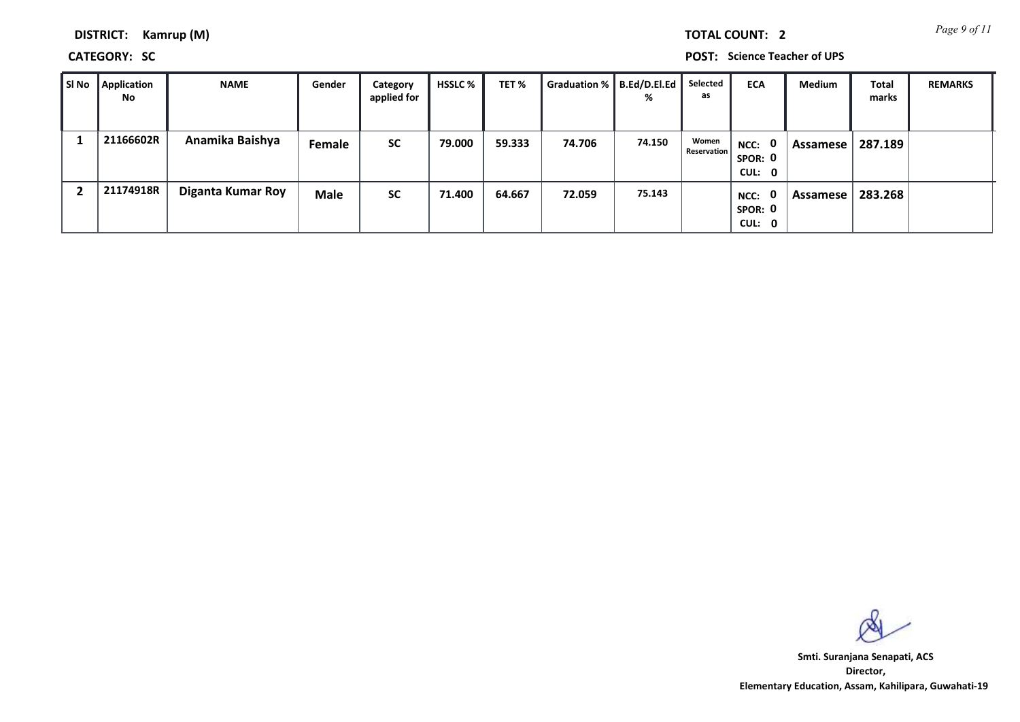*Page 9 of 11* **TOTAL COUNT: 2**

**DISTRICT: Kamrup (M)**

**CATEGORY: SC POST: Science Teacher of UPS**

| ∥ SI No | Application<br><b>No</b> | <b>NAME</b>              | Gender      | Category<br>applied for | HSSLC % | TET <sub>%</sub> | Graduation %   B.Ed/D.El.Ed | %      | Selected<br>as              | <b>ECA</b>                     | Medium          | <b>Total</b><br>marks | <b>REMARKS</b> |
|---------|--------------------------|--------------------------|-------------|-------------------------|---------|------------------|-----------------------------|--------|-----------------------------|--------------------------------|-----------------|-----------------------|----------------|
|         | 21166602R                | Anamika Baishya          | Female      | <b>SC</b>               | 79.000  | 59.333           | 74.706                      | 74.150 | Women<br><b>Reservation</b> | NCC: 0<br>SPOR: 0<br>CUL: 0    | Assamese        | 287.189               |                |
|         | 21174918R                | <b>Diganta Kumar Roy</b> | <b>Male</b> | <b>SC</b>               | 71.400  | 64.667           | 72.059                      | 75.143 |                             | 0<br>NCC:<br>SPOR: 0<br>CUL: 0 | <b>Assamese</b> | 283.268               |                |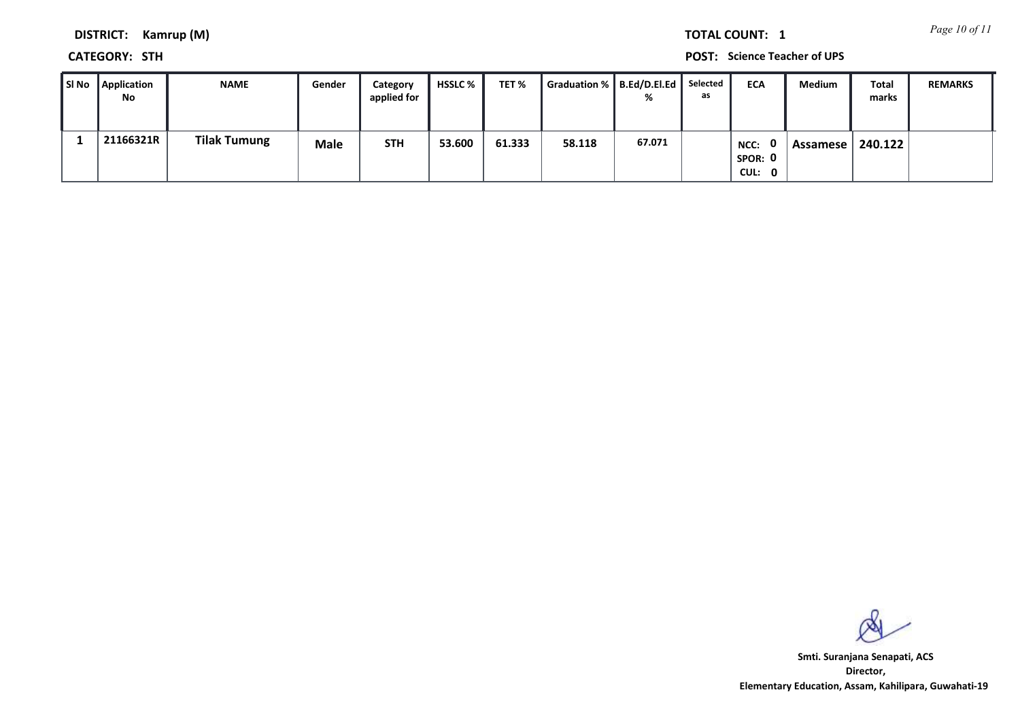*Page 10 of 11* **TOTAL COUNT: 1**

**DISTRICT: Kamrup (M)**

**CATEGORY: STH POST: Science Teacher of UPS**

| Sl No | Application<br>No | <b>NAME</b>         | Gender | Category<br>applied for | <b>HSSLC</b> % | TET %  | Graduation %   B.Ed/D.El.Ed | ℀      | Selected<br>as | <b>ECA</b>                | Medium   | <b>Total</b><br>marks | <b>REMARKS</b> |
|-------|-------------------|---------------------|--------|-------------------------|----------------|--------|-----------------------------|--------|----------------|---------------------------|----------|-----------------------|----------------|
|       | 21166321R         | <b>Tilak Tumung</b> | Male   | <b>STH</b>              | 53.600         | 61.333 | 58.118                      | 67.071 |                | NCC:<br>SPOR: 0<br>CUL: 0 | Assamese | 240.122               |                |